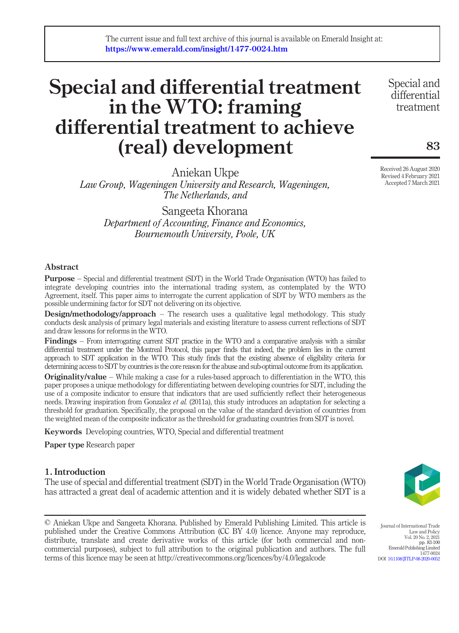# Special and differential treatment in the WTO: framing differential treatment to achieve (real) development

Aniekan Ukpe

Law Group, Wageningen University and Research, Wageningen, The Netherlands, and

Sangeeta Khorana Department of Accounting, Finance and Economics, Bournemouth University, Poole, UK

## Abstract

Purpose – Special and differential treatment (SDT) in the World Trade Organisation (WTO) has failed to integrate developing countries into the international trading system, as contemplated by the WTO Agreement, itself. This paper aims to interrogate the current application of SDT by WTO members as the possible undermining factor for SDT not delivering on its objective.

**Design/methodology/approach** – The research uses a qualitative legal methodology. This study conducts desk analysis of primary legal materials and existing literature to assess current reflections of SDT and draw lessons for reforms in the WTO.

Findings – From interrogating current SDT practice in the WTO and a comparative analysis with a similar differential treatment under the Montreal Protocol, this paper finds that indeed, the problem lies in the current approach to SDT application in the WTO. This study finds that the existing absence of eligibility criteria for determining access to SDT by countries is the core reason for the abuse and sub-optimal outcome from its application.

**Originality/value** – While making a case for a rules-based approach to differentiation in the WTO, this paper proposes a unique methodology for differentiating between developing countries for SDT, including the use of a composite indicator to ensure that indicators that are used sufficiently reflect their heterogeneous needs. Drawing inspiration from Gonzalez et al. (2011a), this study introduces an adaptation for selecting a threshold for graduation. Specifically, the proposal on the value of the standard deviation of countries from the weighted mean of the composite indicator as the threshold for graduating countries from SDT is novel.

Keywords Developing countries, WTO, Special and differential treatment

Paper type Research paper

## 1. Introduction

The use of special and differential treatment (SDT) in the World Trade Organisation (WTO) has attracted a great deal of academic attention and it is widely debated whether SDT is a

© Aniekan Ukpe and Sangeeta Khorana. Published by Emerald Publishing Limited. This article is published under the Creative Commons Attribution (CC BY 4.0) licence. Anyone may reproduce, distribute, translate and create derivative works of this article (for both commercial and noncommercial purposes), subject to full attribution to the original publication and authors. The full terms of this licence may be seen at http://creativecommons.org/licences/by/4.0/legalcode

Journal of International Trade Law and Policy Vol. 20 No. 2, 2021 pp. 83-100 Emerald Publishing Limited

1477-0024 DOI [10.1108/JITLP-08-2020-0052](http://dx.doi.org/10.1108/JITLP-08-2020-0052)

83

Special and differential treatment

Received 26 August 2020 Revised 4 February 2021 Accepted 7 March 2021

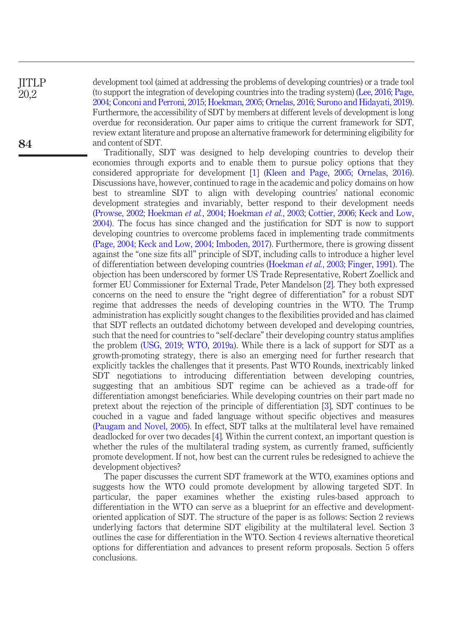**IITLP** 20,2

84

development tool (aimed at addressing the problems of developing countries) or a trade tool (to support the integration of developing countries into the trading system) [\(Lee, 2016](#page-15-0); [Page,](#page-15-1) [2004](#page-15-1); [Conconi and Perroni, 2015;](#page-14-0) [Hoekman, 2005;](#page-14-1) [Ornelas, 2016;](#page-15-2) [Surono and Hidayati, 2019\)](#page-15-3). Furthermore, the accessibility of SDT by members at different levels of development is long overdue for reconsideration. Our paper aims to critique the current framework for SDT, review extant literature and propose an alternative framework for determining eligibility for and content of SDT.

Traditionally, SDT was designed to help developing countries to develop their economies through exports and to enable them to pursue policy options that they considered appropriate for development [\[1\]](#page-11-0) [\(Kleen and Page, 2005;](#page-15-4) [Ornelas, 2016](#page-15-2)). Discussions have, however, continued to rage in the academic and policy domains on how best to streamline SDT to align with developing countries' national economic development strategies and invariably, better respond to their development needs [\(Prowse, 2002](#page-15-5); [Hoekman](#page-14-2) et al., 2004; [Hoekman](#page-14-3) et al., 2003; [Cottier, 2006](#page-14-4); [Keck and Low,](#page-14-5) [2004\)](#page-14-5). The focus has since changed and the justification for SDT is now to support developing countries to overcome problems faced in implementing trade commitments [\(Page, 2004](#page-15-1); [Keck and Low, 2004;](#page-14-5) [Imboden, 2017](#page-14-6)). Furthermore, there is growing dissent against the "one size fits all" principle of SDT, including calls to introduce a higher level of differentiation between developing countries ([Hoekman](#page-14-3) et al., 2003; [Finger, 1991](#page-14-7)). The objection has been underscored by former US Trade Representative, Robert Zoellick and former EU Commissioner for External Trade, Peter Mandelson [[2\]](#page-11-1). They both expressed concerns on the need to ensure the "right degree of differentiation" for a robust SDT regime that addresses the needs of developing countries in the WTO. The Trump administration has explicitly sought changes to the flexibilities provided and has claimed that SDT reflects an outdated dichotomy between developed and developing countries, such that the need for countries to "self-declare" their developing country status amplifies the problem ([USG, 2019;](#page-15-6) [WTO, 2019a](#page-16-0)). While there is a lack of support for SDT as a growth-promoting strategy, there is also an emerging need for further research that explicitly tackles the challenges that it presents. Past WTO Rounds, inextricably linked SDT negotiations to introducing differentiation between developing countries, suggesting that an ambitious SDT regime can be achieved as a trade-off for differentiation amongst beneficiaries. While developing countries on their part made no pretext about the rejection of the principle of differentiation [[3](#page-11-2)], SDT continues to be couched in a vague and faded language without specific objectives and measures [\(Paugam and Novel, 2005\)](#page-15-7). In effect, SDT talks at the multilateral level have remained deadlocked for over two decades [[4\]](#page-12-0). Within the current context, an important question is whether the rules of the multilateral trading system, as currently framed, sufficiently promote development. If not, how best can the current rules be redesigned to achieve the development objectives?

The paper discusses the current SDT framework at the WTO, examines options and suggests how the WTO could promote development by allowing targeted SDT. In particular, the paper examines whether the existing rules-based approach to differentiation in the WTO can serve as a blueprint for an effective and developmentoriented application of SDT. The structure of the paper is as follows: Section 2 reviews underlying factors that determine SDT eligibility at the multilateral level. Section 3 outlines the case for differentiation in the WTO. Section 4 reviews alternative theoretical options for differentiation and advances to present reform proposals. Section 5 offers conclusions.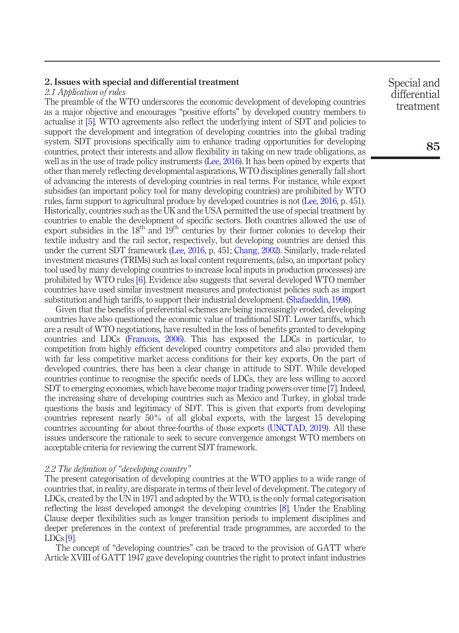## 2. Issues with special and differential treatment

## 2.1 Application of rules

The preamble of the WTO underscores the economic development of developing countries as a major objective and encourages "positive efforts" by developed country members to actualise it [[5](#page-12-1)]. WTO agreements also reflect the underlying intent of SDT and policies to support the development and integration of developing countries into the global trading system. SDT provisions specifically aim to enhance trading opportunities for developing countries, protect their interests and allow flexibility in taking on new trade obligations, as well as in the use of trade policy instruments [\(Lee, 2016](#page-15-0)). It has been opined by experts that other than merely reflecting developmental aspirations, WTO disciplines generally fall short of advancing the interests of developing countries in real terms. For instance, while export subsidies (an important policy tool for many developing countries) are prohibited by WTO rules, farm support to agricultural produce by developed countries is not [\(Lee, 2016](#page-15-0), p. 451). Historically, countries such as the UK and the USA permitted the use of special treatment by countries to enable the development of specific sectors. Both countries allowed the use of export subsidies in the 18<sup>th</sup> and 19<sup>th</sup> centuries by their former colonies to develop their textile industry and the rail sector, respectively, but developing countries are denied this under the current SDT framework [\(Lee, 2016,](#page-15-0) p. 451; [Chang, 2002\)](#page-14-8). Similarly, trade-related investment measures (TRIMs) such as local content requirements, (also, an important policy tool used by many developing countries to increase local inputs in production processes) are prohibited by WTO rules [\[6\]](#page-12-2). Evidence also suggests that several developed WTO member countries have used similar investment measures and protectionist policies such as import substitution and high tariffs, to support their industrial development. [\(Shafaeddin, 1998](#page-15-8)).

Given that the benefits of preferential schemes are being increasingly eroded, developing countries have also questioned the economic value of traditional SDT. Lower tariffs, which are a result of WTO negotiations, have resulted in the loss of benefits granted to developing countries and LDCs [\(Francois, 2006](#page-14-9)). This has exposed the LDCs in particular, to competition from highly efficient developed country competitors and also provided them with far less competitive market access conditions for their key exports. On the part of developed countries, there has been a clear change in attitude to SDT. While developed countries continue to recognise the specific needs of LDCs, they are less willing to accord SDT to emerging economies, which have become major trading powers over time [\[7](#page-12-3)]. Indeed, the increasing share of developing countries such as Mexico and Turkey, in global trade questions the basis and legitimacy of SDT. This is given that exports from developing countries represent nearly 50% of all global exports, with the largest 15 developing countries accounting for about three-fourths of those exports [\(UNCTAD, 2019\)](#page-15-9). All these issues underscore the rationale to seek to secure convergence amongst WTO members on acceptable criteria for reviewing the current SDT framework.

#### 2.2 The definition of "developing country"

The present categorisation of developing countries at the WTO applies to a wide range of countries that, in reality, are disparate in terms of their level of development. The category of LDCs, created by the UN in 1971 and adopted by the WTO, is the only formal categorisation reflecting the least developed amongst the developing countries [\[8\]](#page-12-4). Under the Enabling Clause deeper flexibilities such as longer transition periods to implement disciplines and deeper preferences in the context of preferential trade programmes, are accorded to the LDCs [\[9\]](#page-12-5).

The concept of "developing countries" can be traced to the provision of GATT where Article XVIII of GATT 1947 gave developing countries the right to protect infant industries Special and differential treatment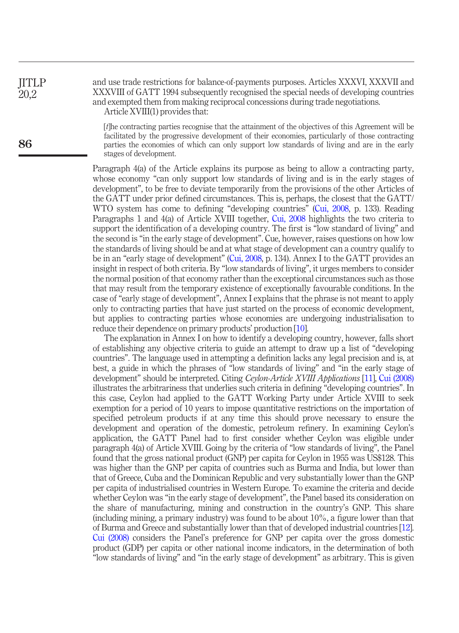## and use trade restrictions for balance-of-payments purposes. Articles XXXVI, XXXVII and XXXVIII of GATT 1994 subsequently recognised the special needs of developing countries and exempted them from making reciprocal concessions during trade negotiations. Article XVIII(1) provides that:

[t]he contracting parties recognise that the attainment of the objectives of this Agreement will be facilitated by the progressive development of their economies, particularly of those contracting parties the economies of which can only support low standards of living and are in the early stages of development.

Paragraph 4(a) of the Article explains its purpose as being to allow a contracting party, whose economy "can only support low standards of living and is in the early stages of development", to be free to deviate temporarily from the provisions of the other Articles of the GATT under prior defined circumstances. This is, perhaps, the closest that the GATT/ WTO system has come to defining "developing countries" ([Cui, 2008,](#page-14-10) p. 133). Reading Paragraphs 1 and 4(a) of Article XVIII together, [Cui, 2008](#page-14-10) highlights the two criteria to support the identification of a developing country. The first is "low standard of living" and the second is "in the early stage of development". Cue, however, raises questions on how low the standards of living should be and at what stage of development can a country qualify to be in an "early stage of development" ([Cui, 2008](#page-14-10), p. 134). Annex I to the GATT provides an insight in respect of both criteria. By "low standards of living", it urges members to consider the normal position of that economy rather than the exceptional circumstances such as those that may result from the temporary existence of exceptionally favourable conditions. In the case of "early stage of development", Annex I explains that the phrase is not meant to apply only to contracting parties that have just started on the process of economic development, but applies to contracting parties whose economies are undergoing industrialisation to reduce their dependence on primary products' production [[10](#page-12-6)].

The explanation in Annex I on how to identify a developing country, however, falls short of establishing any objective criteria to guide an attempt to draw up a list of "developing countries". The language used in attempting a definition lacks any legal precision and is, at best, a guide in which the phrases of "low standards of living" and "in the early stage of development" should be interpreted. Citing Ceylon-Article XVIII Applications [\[11\]](#page-12-7), [Cui \(2008\)](#page-14-10) illustrates the arbitrariness that underlies such criteria in defining "developing countries". In this case, Ceylon had applied to the GATT Working Party under Article XVIII to seek exemption for a period of 10 years to impose quantitative restrictions on the importation of specified petroleum products if at any time this should prove necessary to ensure the development and operation of the domestic, petroleum refinery. In examining Ceylon's application, the GATT Panel had to first consider whether Ceylon was eligible under paragraph 4(a) of Article XVIII. Going by the criteria of "low standards of living", the Panel found that the gross national product (GNP) per capita for Ceylon in 1955 was US\$128. This was higher than the GNP per capita of countries such as Burma and India, but lower than that of Greece, Cuba and the Dominican Republic and very substantially lower than the GNP per capita of industrialised countries in Western Europe. To examine the criteria and decide whether Ceylon was "in the early stage of development", the Panel based its consideration on the share of manufacturing, mining and construction in the country's GNP. This share (including mining, a primary industry) was found to be about 10%, a figure lower than that of Burma and Greece and substantially lower than that of developed industrial countries [\[12\]](#page-12-8). [Cui \(2008\)](#page-14-10) considers the Panel's preference for GNP per capita over the gross domestic product (GDP) per capita or other national income indicators, in the determination of both "low standards of living" and "in the early stage of development" as arbitrary. This is given

**IITLP** 20,2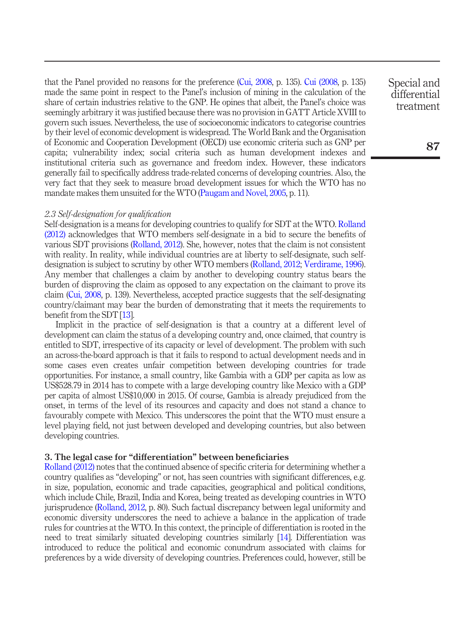that the Panel provided no reasons for the preference [\(Cui, 2008](#page-14-10), p. 135). [Cui \(2008,](#page-14-10) p. 135) made the same point in respect to the Panel's inclusion of mining in the calculation of the share of certain industries relative to the GNP. He opines that albeit, the Panel's choice was seemingly arbitrary it was justified because there was no provision in GATT Article XVIII to govern such issues. Nevertheless, the use of socioeconomic indicators to categorise countries by their level of economic development is widespread. The World Bank and the Organisation of Economic and Cooperation Development (OECD) use economic criteria such as GNP per capita; vulnerability index; social criteria such as human development indexes and institutional criteria such as governance and freedom index. However, these indicators generally fail to specifically address trade-related concerns of developing countries. Also, the very fact that they seek to measure broad development issues for which the WTO has no mandate makes them unsuited for the WTO [\(Paugam and Novel, 2005](#page-15-7), p. 11).

#### 2.3 Self-designation for qualification

Self-designation is a means for developing countries to qualify for SDT at the WTO. [Rolland](#page-15-10) [\(2012\)](#page-15-10) acknowledges that WTO members self-designate in a bid to secure the benefits of various SDT provisions ([Rolland, 2012](#page-15-10)). She, however, notes that the claim is not consistent with reality. In reality, while individual countries are at liberty to self-designate, such selfdesignation is subject to scrutiny by other WTO members ([Rolland, 2012;](#page-15-10) [Verdirame, 1996\)](#page-15-11). Any member that challenges a claim by another to developing country status bears the burden of disproving the claim as opposed to any expectation on the claimant to prove its claim ([Cui, 2008,](#page-14-10) p. 139). Nevertheless, accepted practice suggests that the self-designating country/claimant may bear the burden of demonstrating that it meets the requirements to benefit from the SDT [\[13](#page-12-9)].

Implicit in the practice of self-designation is that a country at a different level of development can claim the status of a developing country and, once claimed, that country is entitled to SDT, irrespective of its capacity or level of development. The problem with such an across-the-board approach is that it fails to respond to actual development needs and in some cases even creates unfair competition between developing countries for trade opportunities. For instance, a small country, like Gambia with a GDP per capita as low as US\$528.79 in 2014 has to compete with a large developing country like Mexico with a GDP per capita of almost US\$10,000 in 2015. Of course, Gambia is already prejudiced from the onset, in terms of the level of its resources and capacity and does not stand a chance to favourably compete with Mexico. This underscores the point that the WTO must ensure a level playing field, not just between developed and developing countries, but also between developing countries.

## 3. The legal case for "differentiation" between beneficiaries

[Rolland \(2012\)](#page-15-10) notes that the continued absence of specific criteria for determining whether a country qualifies as "developing" or not, has seen countries with significant differences, e.g. in size, population, economic and trade capacities, geographical and political conditions, which include Chile, Brazil, India and Korea, being treated as developing countries in WTO jurisprudence [\(Rolland, 2012,](#page-15-10) p. 80). Such factual discrepancy between legal uniformity and economic diversity underscores the need to achieve a balance in the application of trade rules for countries at the WTO. In this context, the principle of differentiation is rooted in the need to treat similarly situated developing countries similarly [\[14\]](#page-12-10). Differentiation was introduced to reduce the political and economic conundrum associated with claims for preferences by a wide diversity of developing countries. Preferences could, however, still be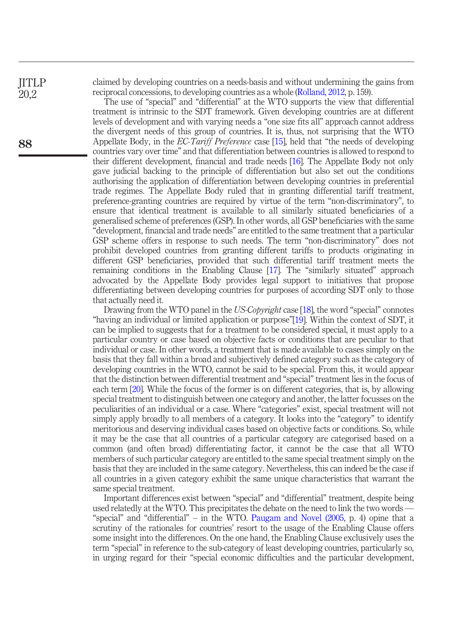**IITLP** 20,2

88

claimed by developing countries on a needs-basis and without undermining the gains from reciprocal concessions, to developing countries as a whole ([Rolland, 2012,](#page-15-10) p. 159).

The use of "special" and "differential" at the WTO supports the view that differential treatment is intrinsic to the SDT framework. Given developing countries are at different levels of development and with varying needs a "one size fits all" approach cannot address the divergent needs of this group of countries. It is, thus, not surprising that the WTO Appellate Body, in the EC-Tariff Preference case [\[15](#page-12-11)], held that "the needs of developing countries vary over time" and that differentiation between countries is allowed to respond to their different development, financial and trade needs [\[16\]](#page-12-12). The Appellate Body not only gave judicial backing to the principle of differentiation but also set out the conditions authorising the application of differentiation between developing countries in preferential trade regimes. The Appellate Body ruled that in granting differential tariff treatment, preference-granting countries are required by virtue of the term "non-discriminatory", to ensure that identical treatment is available to all similarly situated beneficiaries of a generalised scheme of preferences (GSP). In other words, all GSP beneficiaries with the same "development, financial and trade needs" are entitled to the same treatment that a particular GSP scheme offers in response to such needs. The term "non-discriminatory" does not prohibit developed countries from granting different tariffs to products originating in different GSP beneficiaries, provided that such differential tariff treatment meets the remaining conditions in the Enabling Clause [[17](#page-12-13)]. The "similarly situated" approach advocated by the Appellate Body provides legal support to initiatives that propose differentiating between developing countries for purposes of according SDT only to those that actually need it.

Drawing from the WTO panel in the US-Copyright case [\[18](#page-12-14)], the word "special" connotes "having an individual or limited application or purpose"[\[19\]](#page-12-15). Within the context of SDT, it can be implied to suggests that for a treatment to be considered special, it must apply to a particular country or case based on objective facts or conditions that are peculiar to that individual or case. In other words, a treatment that is made available to cases simply on the basis that they fall within a broad and subjectively defined category such as the category of developing countries in the WTO, cannot be said to be special. From this, it would appear that the distinction between differential treatment and "special" treatment lies in the focus of each term [\[20](#page-12-16)]. While the focus of the former is on different categories, that is, by allowing special treatment to distinguish between one category and another, the latter focusses on the peculiarities of an individual or a case. Where "categories" exist, special treatment will not simply apply broadly to all members of a category. It looks into the "category" to identify meritorious and deserving individual cases based on objective facts or conditions. So, while it may be the case that all countries of a particular category are categorised based on a common (and often broad) differentiating factor, it cannot be the case that all WTO members of such particular category are entitled to the same special treatment simply on the basis that they are included in the same category. Nevertheless, this can indeed be the case if all countries in a given category exhibit the same unique characteristics that warrant the same special treatment.

Important differences exist between "special" and "differential" treatment, despite being used relatedly at the WTO. This precipitates the debate on the need to link the two words –– "special" and "differential" – in the WTO. [Paugam and Novel \(2005,](#page-15-7) p. 4) opine that a scrutiny of the rationales for countries' resort to the usage of the Enabling Clause offers some insight into the differences. On the one hand, the Enabling Clause exclusively uses the term "special" in reference to the sub-category of least developing countries, particularly so, in urging regard for their "special economic difficulties and the particular development,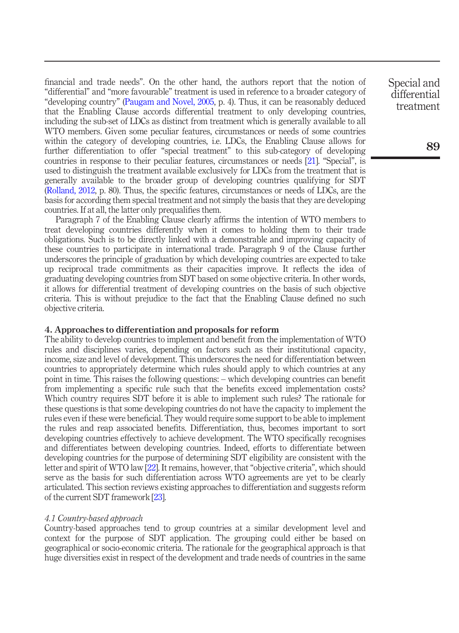financial and trade needs". On the other hand, the authors report that the notion of "differential" and "more favourable" treatment is used in reference to a broader category of "developing country" [\(Paugam and Novel, 2005](#page-15-7), p. 4). Thus, it can be reasonably deduced that the Enabling Clause accords differential treatment to only developing countries, including the sub-set of LDCs as distinct from treatment which is generally available to all WTO members. Given some peculiar features, circumstances or needs of some countries within the category of developing countries, i.e. LDCs, the Enabling Clause allows for further differentiation to offer "special treatment" to this sub-category of developing countries in response to their peculiar features, circumstances or needs [[21](#page-12-17)]. "Special", is used to distinguish the treatment available exclusively for LDCs from the treatment that is generally available to the broader group of developing countries qualifying for SDT [\(Rolland, 2012](#page-15-10), p. 80). Thus, the specific features, circumstances or needs of LDCs, are the basis for according them special treatment and not simply the basis that they are developing countries. If at all, the latter only prequalifies them.

Paragraph 7 of the Enabling Clause clearly affirms the intention of WTO members to treat developing countries differently when it comes to holding them to their trade obligations. Such is to be directly linked with a demonstrable and improving capacity of these countries to participate in international trade. Paragraph 9 of the Clause further underscores the principle of graduation by which developing countries are expected to take up reciprocal trade commitments as their capacities improve. It reflects the idea of graduating developing countries from SDT based on some objective criteria. In other words, it allows for differential treatment of developing countries on the basis of such objective criteria. This is without prejudice to the fact that the Enabling Clause defined no such objective criteria.

## 4. Approaches to differentiation and proposals for reform

The ability to develop countries to implement and benefit from the implementation of WTO rules and disciplines varies, depending on factors such as their institutional capacity, income, size and level of development. This underscores the need for differentiation between countries to appropriately determine which rules should apply to which countries at any point in time. This raises the following questions: – which developing countries can benefit from implementing a specific rule such that the benefits exceed implementation costs? Which country requires SDT before it is able to implement such rules? The rationale for these questions is that some developing countries do not have the capacity to implement the rules even if these were beneficial. They would require some support to be able to implement the rules and reap associated benefits. Differentiation, thus, becomes important to sort developing countries effectively to achieve development. The WTO specifically recognises and differentiates between developing countries. Indeed, efforts to differentiate between developing countries for the purpose of determining SDT eligibility are consistent with the letter and spirit of WTO law [[22](#page-12-18)]. It remains, however, that "objective criteria", which should serve as the basis for such differentiation across WTO agreements are yet to be clearly articulated. This section reviews existing approaches to differentiation and suggests reform of the current SDT framework [[23](#page-13-0)].

#### 4.1 Country-based approach

Country-based approaches tend to group countries at a similar development level and context for the purpose of SDT application. The grouping could either be based on geographical or socio-economic criteria. The rationale for the geographical approach is that huge diversities exist in respect of the development and trade needs of countries in the same Special and differential treatment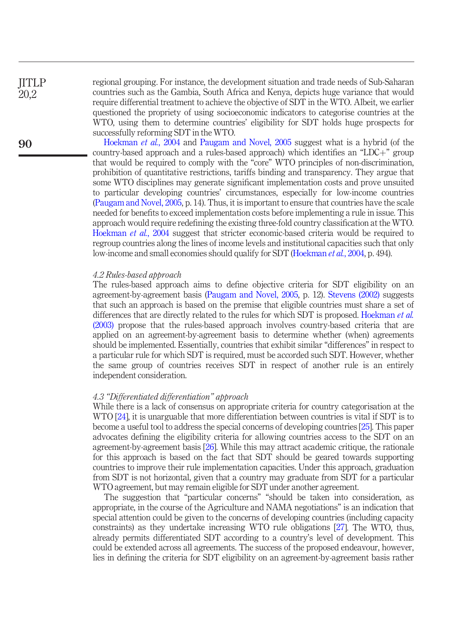**IITLP** 20,2

90

regional grouping. For instance, the development situation and trade needs of Sub-Saharan countries such as the Gambia, South Africa and Kenya, depicts huge variance that would require differential treatment to achieve the objective of SDT in the WTO. Albeit, we earlier questioned the propriety of using socioeconomic indicators to categorise countries at the WTO, using them to determine countries' eligibility for SDT holds huge prospects for successfully reforming SDT in the WTO.

[Hoekman](#page-14-2) *et al.*, 2004 and [Paugam and Novel, 2005](#page-15-7) suggest what is a hybrid (of the country-based approach and a rules-based approach) which identifies an "LDC $+$ " group that would be required to comply with the "core" WTO principles of non-discrimination, prohibition of quantitative restrictions, tariffs binding and transparency. They argue that some WTO disciplines may generate significant implementation costs and prove unsuited to particular developing countries' circumstances, especially for low-income countries [\(Paugam and Novel, 2005](#page-15-7), p. 14). Thus, it is important to ensure that countries have the scale needed for benefits to exceed implementation costs before implementing a rule in issue. This approach would require redefining the existing three-fold country classification at the WTO. [Hoekman](#page-14-2) et al., 2004 suggest that stricter economic-based criteria would be required to regroup countries along the lines of income levels and institutional capacities such that only low-income and small economies should qualify for SDT [\(Hoekman](#page-14-2) et al., 2004, p. 494).

## 4.2 Rules-based approach

The rules-based approach aims to define objective criteria for SDT eligibility on an agreement-by-agreement basis ([Paugam and Novel, 2005](#page-15-7), p. 12). [Stevens \(2002\)](#page-15-12) suggests that such an approach is based on the premise that eligible countries must share a set of differences that are directly related to the rules for which SDT is proposed. [Hoekman](#page-14-3) *et al.* [\(2003\)](#page-14-3) propose that the rules-based approach involves country-based criteria that are applied on an agreement-by-agreement basis to determine whether (when) agreements should be implemented. Essentially, countries that exhibit similar "differences" in respect to a particular rule for which SDT is required, must be accorded such SDT. However, whether the same group of countries receives SDT in respect of another rule is an entirely independent consideration.

#### 4.3 "Differentiated differentiation" approach

While there is a lack of consensus on appropriate criteria for country categorisation at the WTO [\[24](#page-13-1)], it is unarguable that more differentiation between countries is vital if SDT is to become a useful tool to address the special concerns of developing countries [\[25](#page-13-2)]. This paper advocates defining the eligibility criteria for allowing countries access to the SDT on an agreement-by-agreement basis [\[26\]](#page-13-3). While this may attract academic critique, the rationale for this approach is based on the fact that SDT should be geared towards supporting countries to improve their rule implementation capacities. Under this approach, graduation from SDT is not horizontal, given that a country may graduate from SDT for a particular WTO agreement, but may remain eligible for SDT under another agreement.

The suggestion that "particular concerns" "should be taken into consideration, as appropriate, in the course of the Agriculture and NAMA negotiations" is an indication that special attention could be given to the concerns of developing countries (including capacity constraints) as they undertake increasing WTO rule obligations [[27](#page-13-4)]. The WTO, thus, already permits differentiated SDT according to a country's level of development. This could be extended across all agreements. The success of the proposed endeavour, however, lies in defining the criteria for SDT eligibility on an agreement-by-agreement basis rather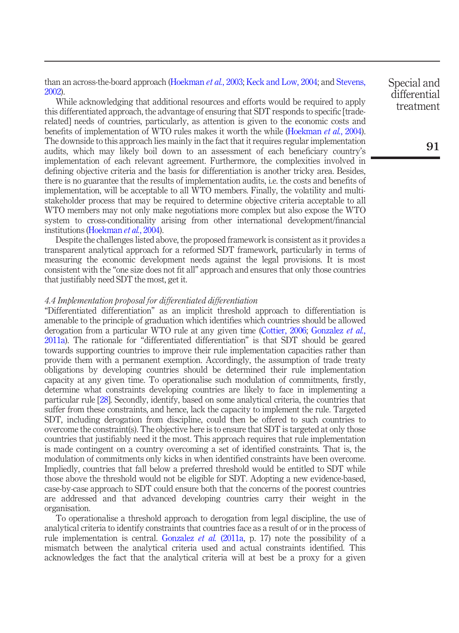than an across-the-board approach [\(Hoekman](#page-14-3) *et al.*, 2003; [Keck and Low, 2004](#page-14-5); and [Stevens,](#page-15-12) [2002\)](#page-15-12).

While acknowledging that additional resources and efforts would be required to apply this differentiated approach, the advantage of ensuring that SDT responds to specific [traderelated] needs of countries, particularly, as attention is given to the economic costs and benefits of implementation of WTO rules makes it worth the while [\(Hoekman](#page-14-2) et al., 2004). The downside to this approach lies mainly in the fact that it requires regular implementation audits, which may likely boil down to an assessment of each beneficiary country's implementation of each relevant agreement. Furthermore, the complexities involved in defining objective criteria and the basis for differentiation is another tricky area. Besides, there is no guarantee that the results of implementation audits, i.e. the costs and benefits of implementation, will be acceptable to all WTO members. Finally, the volatility and multistakeholder process that may be required to determine objective criteria acceptable to all WTO members may not only make negotiations more complex but also expose the WTO system to cross-conditionality arising from other international development/financial institutions [\(Hoekman](#page-14-2) *et al.*, 2004).

Despite the challenges listed above, the proposed framework is consistent as it provides a transparent analytical approach for a reformed SDT framework, particularly in terms of measuring the economic development needs against the legal provisions. It is most consistent with the "one size does not fit all" approach and ensures that only those countries that justifiably need SDT the most, get it.

#### 4.4 Implementation proposal for differentiated differentiation

"Differentiated differentiation" as an implicit threshold approach to differentiation is amenable to the principle of graduation which identifies which countries should be allowed derogation from a particular WTO rule at any given time ([Cottier, 2006](#page-14-4); [Gonzalez](#page-14-11) *et al.*, [2011a\)](#page-14-11). The rationale for "differentiated differentiation" is that SDT should be geared towards supporting countries to improve their rule implementation capacities rather than provide them with a permanent exemption. Accordingly, the assumption of trade treaty obligations by developing countries should be determined their rule implementation capacity at any given time. To operationalise such modulation of commitments, firstly, determine what constraints developing countries are likely to face in implementing a particular rule [\[28](#page-13-5)]. Secondly, identify, based on some analytical criteria, the countries that suffer from these constraints, and hence, lack the capacity to implement the rule. Targeted SDT, including derogation from discipline, could then be offered to such countries to overcome the constraint(s). The objective here is to ensure that SDT is targeted at only those countries that justifiably need it the most. This approach requires that rule implementation is made contingent on a country overcoming a set of identified constraints. That is, the modulation of commitments only kicks in when identified constraints have been overcome. Impliedly, countries that fall below a preferred threshold would be entitled to SDT while those above the threshold would not be eligible for SDT. Adopting a new evidence-based, case-by-case approach to SDT could ensure both that the concerns of the poorest countries are addressed and that advanced developing countries carry their weight in the organisation.

To operationalise a threshold approach to derogation from legal discipline, the use of analytical criteria to identify constraints that countries face as a result of or in the process of rule implementation is central. [Gonzalez](#page-14-11) *et al.* (2011a, p. 17) note the possibility of a mismatch between the analytical criteria used and actual constraints identified. This acknowledges the fact that the analytical criteria will at best be a proxy for a given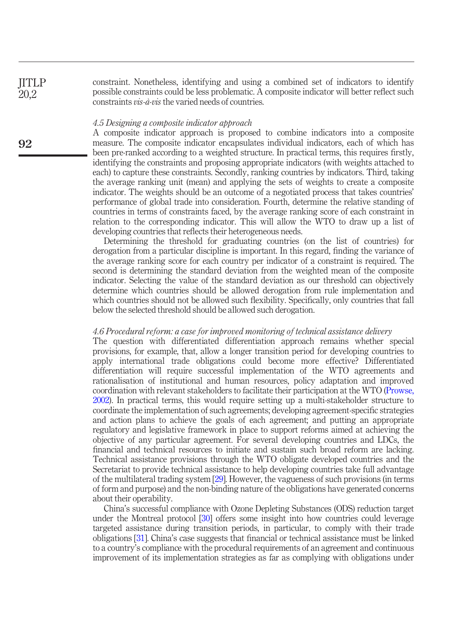constraint. Nonetheless, identifying and using a combined set of indicators to identify possible constraints could be less problematic. A composite indicator will better reflect such constraints vis-à-vis the varied needs of countries.

#### 4.5 Designing a composite indicator approach

A composite indicator approach is proposed to combine indicators into a composite measure. The composite indicator encapsulates individual indicators, each of which has been pre-ranked according to a weighted structure. In practical terms, this requires firstly, identifying the constraints and proposing appropriate indicators (with weights attached to each) to capture these constraints. Secondly, ranking countries by indicators. Third, taking the average ranking unit (mean) and applying the sets of weights to create a composite indicator. The weights should be an outcome of a negotiated process that takes countries' performance of global trade into consideration. Fourth, determine the relative standing of countries in terms of constraints faced, by the average ranking score of each constraint in relation to the corresponding indicator. This will allow the WTO to draw up a list of developing countries that reflects their heterogeneous needs.

Determining the threshold for graduating countries (on the list of countries) for derogation from a particular discipline is important. In this regard, finding the variance of the average ranking score for each country per indicator of a constraint is required. The second is determining the standard deviation from the weighted mean of the composite indicator. Selecting the value of the standard deviation as our threshold can objectively determine which countries should be allowed derogation from rule implementation and which countries should not be allowed such flexibility. Specifically, only countries that fall below the selected threshold should be allowed such derogation.

## 4.6 Procedural reform: a case for improved monitoring of technical assistance delivery

The question with differentiated differentiation approach remains whether special provisions, for example, that, allow a longer transition period for developing countries to apply international trade obligations could become more effective? Differentiated differentiation will require successful implementation of the WTO agreements and rationalisation of institutional and human resources, policy adaptation and improved coordination with relevant stakeholders to facilitate their participation at the WTO [\(Prowse,](#page-15-5) [2002](#page-15-5)). In practical terms, this would require setting up a multi-stakeholder structure to coordinate the implementation of such agreements; developing agreement-specific strategies and action plans to achieve the goals of each agreement; and putting an appropriate regulatory and legislative framework in place to support reforms aimed at achieving the objective of any particular agreement. For several developing countries and LDCs, the financial and technical resources to initiate and sustain such broad reform are lacking. Technical assistance provisions through the WTO obligate developed countries and the Secretariat to provide technical assistance to help developing countries take full advantage of the multilateral trading system [\[29\]](#page-13-6). However, the vagueness of such provisions (in terms of form and purpose) and the non-binding nature of the obligations have generated concerns about their operability.

China's successful compliance with Ozone Depleting Substances (ODS) reduction target under the Montreal protocol [[30\]](#page-13-7) offers some insight into how countries could leverage targeted assistance during transition periods, in particular, to comply with their trade obligations [[31\]](#page-13-8). China's case suggests that financial or technical assistance must be linked to a country's compliance with the procedural requirements of an agreement and continuous improvement of its implementation strategies as far as complying with obligations under

**IITLP** 20,2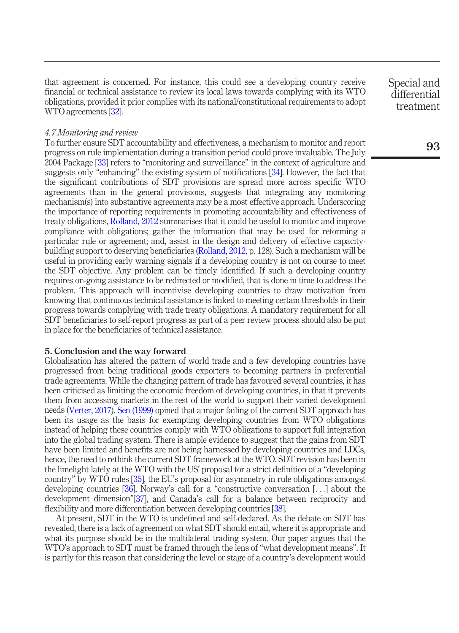that agreement is concerned. For instance, this could see a developing country receive financial or technical assistance to review its local laws towards complying with its WTO obligations, provided it prior complies with its national/constitutional requirements to adopt WTO agreements [\[32](#page-13-9)].

#### 4.7 Monitoring and review

To further ensure SDT accountability and effectiveness, a mechanism to monitor and report progress on rule implementation during a transition period could prove invaluable. The July 2004 Package [\[33\]](#page-13-10) refers to "monitoring and surveillance" in the context of agriculture and suggests only "enhancing" the existing system of notifications [\[34\]](#page-13-11). However, the fact that the significant contributions of SDT provisions are spread more across specific WTO agreements than in the general provisions, suggests that integrating any monitoring mechanism(s) into substantive agreements may be a most effective approach. Underscoring the importance of reporting requirements in promoting accountability and effectiveness of treaty obligations, [Rolland, 2012](#page-15-10) summarises that it could be useful to monitor and improve compliance with obligations; gather the information that may be used for reforming a particular rule or agreement; and, assist in the design and delivery of effective capacitybuilding support to deserving beneficiaries [\(Rolland, 2012,](#page-15-10) p. 128). Such a mechanism will be useful in providing early warning signals if a developing country is not on course to meet the SDT objective. Any problem can be timely identified. If such a developing country requires on-going assistance to be redirected or modified, that is done in time to address the problem. This approach will incentivise developing countries to draw motivation from knowing that continuous technical assistance is linked to meeting certain thresholds in their progress towards complying with trade treaty obligations. A mandatory requirement for all SDT beneficiaries to self-report progress as part of a peer review process should also be put in place for the beneficiaries of technical assistance.

#### 5. Conclusion and the way forward

Globalisation has altered the pattern of world trade and a few developing countries have progressed from being traditional goods exporters to becoming partners in preferential trade agreements. While the changing pattern of trade has favoured several countries, it has been criticised as limiting the economic freedom of developing countries, in that it prevents them from accessing markets in the rest of the world to support their varied development needs [\(Verter, 2017\)](#page-15-13). [Sen \(1999\)](#page-15-14) opined that a major failing of the current SDT approach has been its usage as the basis for exempting developing countries from WTO obligations instead of helping these countries comply with WTO obligations to support full integration into the global trading system. There is ample evidence to suggest that the gains from SDT have been limited and benefits are not being harnessed by developing countries and LDCs, hence, the need to rethink the current SDT framework at the WTO. SDT revision has been in the limelight lately at the WTO with the US' proposal for a strict definition of a "developing country" by WTO rules [[35](#page-13-12)], the EU's proposal for asymmetry in rule obligations amongst developing countries [\[36\]](#page-13-13), Norway's call for a "constructive conversation [...] about the development dimension"[\[37\]](#page-14-12), and Canada's call for a balance between reciprocity and flexibility and more differentiation between developing countries [[38\]](#page-14-13).

At present, SDT in the WTO is undefined and self-declared. As the debate on SDT has revealed, there is a lack of agreement on what SDT should entail, where it is appropriate and what its purpose should be in the multilateral trading system. Our paper argues that the WTO's approach to SDT must be framed through the lens of "what development means". It is partly for this reason that considering the level or stage of a country's development would Special and differential treatment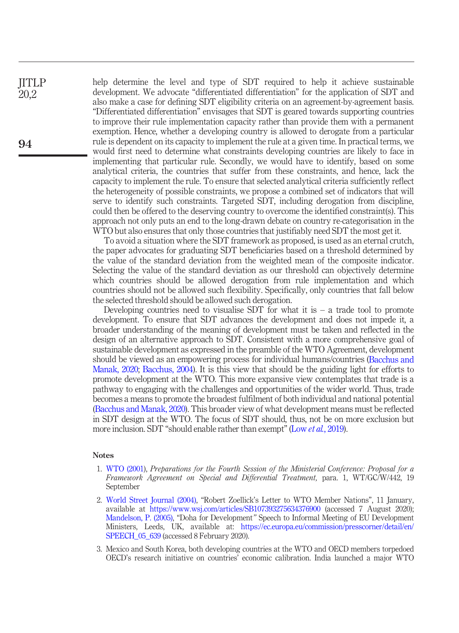help determine the level and type of SDT required to help it achieve sustainable development. We advocate "differentiated differentiation" for the application of SDT and also make a case for defining SDT eligibility criteria on an agreement-by-agreement basis. "Differentiated differentiation" envisages that SDT is geared towards supporting countries to improve their rule implementation capacity rather than provide them with a permanent exemption. Hence, whether a developing country is allowed to derogate from a particular rule is dependent on its capacity to implement the rule at a given time. In practical terms, we would first need to determine what constraints developing countries are likely to face in implementing that particular rule. Secondly, we would have to identify, based on some analytical criteria, the countries that suffer from these constraints, and hence, lack the capacity to implement the rule. To ensure that selected analytical criteria sufficiently reflect the heterogeneity of possible constraints, we propose a combined set of indicators that will serve to identify such constraints. Targeted SDT, including derogation from discipline, could then be offered to the deserving country to overcome the identified constraint(s). This approach not only puts an end to the long-drawn debate on country re-categorisation in the WTO but also ensures that only those countries that justifiably need SDT the most get it.

To avoid a situation where the SDT framework as proposed, is used as an eternal crutch, the paper advocates for graduating SDT beneficiaries based on a threshold determined by the value of the standard deviation from the weighted mean of the composite indicator. Selecting the value of the standard deviation as our threshold can objectively determine which countries should be allowed derogation from rule implementation and which countries should not be allowed such flexibility. Specifically, only countries that fall below the selected threshold should be allowed such derogation.

Developing countries need to visualise SDT for what it is  $-$  a trade tool to promote development. To ensure that SDT advances the development and does not impede it, a broader understanding of the meaning of development must be taken and reflected in the design of an alternative approach to SDT. Consistent with a more comprehensive goal of sustainable development as expressed in the preamble of the WTO Agreement, development should be viewed as an empowering process for individual humans/countries ([Bacchus and](#page-14-14) [Manak, 2020](#page-14-14); [Bacchus, 2004](#page-14-15)). It is this view that should be the guiding light for efforts to promote development at the WTO. This more expansive view contemplates that trade is a pathway to engaging with the challenges and opportunities of the wider world. Thus, trade becomes a means to promote the broadest fulfilment of both individual and national potential [\(Bacchus and Manak, 2020](#page-14-14)). This broader view of what development means must be reflected in SDT design at the WTO. The focus of SDT should, thus, not be on more exclusion but more inclusion. SDT "should enable rather than exempt" (Low *et al.*[, 2019\)](#page-15-15).

#### Notes

- <span id="page-11-0"></span>1. [WTO \(2001\)](#page-16-1), Preparations for the Fourth Session of the Ministerial Conference: Proposal for a Framework Agreement on Special and Differential Treatment, para. 1, WT/GC/W/442, 19 September
- <span id="page-11-1"></span>2. [World Street Journal \(2004\),](#page-15-16) "Robert Zoellick's Letter to WTO Member Nations", 11 January, available at <https://www.wsj.com/articles/SB107393275634376900> (accessed 7 August 2020); [Mandelson, P. \(2005\),](#page-15-17) "Doha for Development" Speech to Informal Meeting of EU Development Ministers, Leeds, UK, available at: [https://ec.europa.eu/commission/presscorner/detail/en/](https://ec.europa.eu/commission/presscorner/detail/en/SPEECH_05_639) [SPEECH\\_05\\_639](https://ec.europa.eu/commission/presscorner/detail/en/SPEECH_05_639) (accessed 8 February 2020).
- <span id="page-11-2"></span>3. Mexico and South Korea, both developing countries at the WTO and OECD members torpedoed OECD's research initiative on countries' economic calibration. India launched a major WTO

**JITLP** 20,2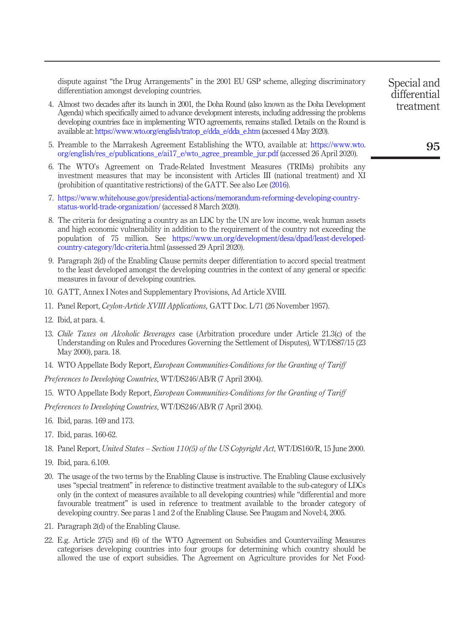dispute against "the Drug Arrangements" in the 2001 EU GSP scheme, alleging discriminatory differentiation amongst developing countries.

- <span id="page-12-0"></span>4. Almost two decades after its launch in 2001, the Doha Round (also known as the Doha Development Agenda) which specifically aimed to advance development interests, including addressing the problems developing countries face in implementing WTO agreements, remains stalled. Details on the Round is available at: [https://www.wto.org/english/tratop\\_e/dda\\_e/dda\\_e.htm](https://www.wto.org/english/tratop_e/dda_e/dda_e.htm) (accessed 4 May 2020).
- <span id="page-12-1"></span>5. Preamble to the Marrakesh Agreement Establishing the WTO, available at: [https://www.wto.](https://www.wto.org/english/res_e/publications_e/ai17_e/wto_agree_preamble_jur.pdf) [org/english/res\\_e/publications\\_e/ai17\\_e/wto\\_agree\\_preamble\\_jur.pdf](https://www.wto.org/english/res_e/publications_e/ai17_e/wto_agree_preamble_jur.pdf) (accessed 26 April 2020).
- <span id="page-12-2"></span>6. The WTO's Agreement on Trade-Related Investment Measures (TRIMs) prohibits any investment measures that may be inconsistent with Articles III (national treatment) and XI (prohibition of quantitative restrictions) of the GATT. See also Lee [\(2016](#page-15-0)).
- <span id="page-12-3"></span>7. [https://www.whitehouse.gov/presidential-actions/memorandum-reforming-developing-country](https://www.whitehouse.gov/presidential-actions/memorandum-reforming-developing-country-status-world-trade-organization/)[status-world-trade-organization/](https://www.whitehouse.gov/presidential-actions/memorandum-reforming-developing-country-status-world-trade-organization/) (accessed 8 March 2020).
- <span id="page-12-4"></span>8. The criteria for designating a country as an LDC by the UN are low income, weak human assets and high economic vulnerability in addition to the requirement of the country not exceeding the population of 75 million. See [https://www.un.org/development/desa/dpad/least-developed](https://www.un.org/development/desa/dpad/least-developed-country-category/ldc-criteria.)[country-category/ldc-criteria.h](https://www.un.org/development/desa/dpad/least-developed-country-category/ldc-criteria.)tml (assessed 29 April 2020).
- <span id="page-12-5"></span>9. Paragraph 2(d) of the Enabling Clause permits deeper differentiation to accord special treatment to the least developed amongst the developing countries in the context of any general or specific measures in favour of developing countries.
- <span id="page-12-6"></span>10. GATT, Annex I Notes and Supplementary Provisions, Ad Article XVIII.
- <span id="page-12-7"></span>11. Panel Report, Ceylon-Article XVIII Applications, GATT Doc. L/71 (26 November 1957).
- <span id="page-12-8"></span>12. Ibid, at para. 4.
- <span id="page-12-9"></span>13. Chile Taxes on Alcoholic Beverages case (Arbitration procedure under Article 21.3(c) of the Understanding on Rules and Procedures Governing the Settlement of Disputes), WT/DS87/15 (23 May 2000), para. 18.
- <span id="page-12-10"></span>14. WTO Appellate Body Report, European Communities-Conditions for the Granting of Tariff

Preferences to Developing Countries, WT/DS246/AB/R (7 April 2004).

<span id="page-12-11"></span>15. WTO Appellate Body Report, *European Communities-Conditions for the Granting of Tariff* 

Preferences to Developing Countries, WT/DS246/AB/R (7 April 2004).

- <span id="page-12-12"></span>16. Ibid, paras. 169 and 173.
- <span id="page-12-13"></span>17. Ibid, paras. 160-62.
- <span id="page-12-14"></span>18. Panel Report, United States – Section 110(5) of the US Copyright Act, WT/DS160/R, 15 June 2000.
- <span id="page-12-15"></span>19. Ibid, para. 6.109.
- <span id="page-12-16"></span>20. The usage of the two terms by the Enabling Clause is instructive. The Enabling Clause exclusively uses "special treatment" in reference to distinctive treatment available to the sub-category of LDCs only (in the context of measures available to all developing countries) while "differential and more favourable treatment" is used in reference to treatment available to the broader category of developing country. See paras 1 and 2 of the Enabling Clause. See Paugam and Novel:4, 2005.
- <span id="page-12-17"></span>21. Paragraph 2(d) of the Enabling Clause.
- <span id="page-12-18"></span>22. E.g. Article 27(5) and (6) of the WTO Agreement on Subsidies and Countervailing Measures categorises developing countries into four groups for determining which country should be allowed the use of export subsidies. The Agreement on Agriculture provides for Net Food-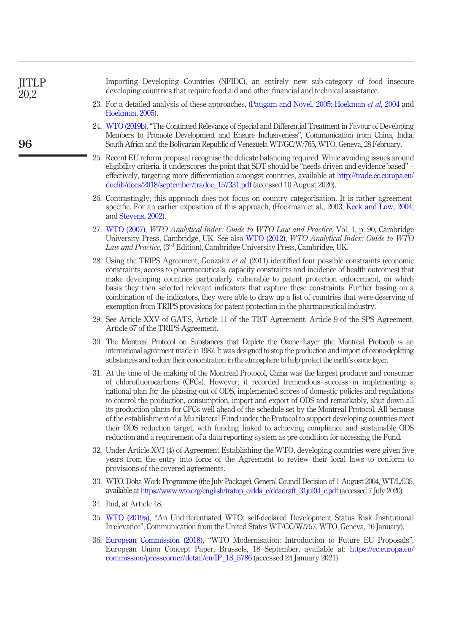<span id="page-13-13"></span><span id="page-13-12"></span><span id="page-13-11"></span><span id="page-13-10"></span><span id="page-13-9"></span><span id="page-13-8"></span><span id="page-13-7"></span><span id="page-13-6"></span><span id="page-13-5"></span><span id="page-13-4"></span><span id="page-13-3"></span><span id="page-13-2"></span><span id="page-13-1"></span><span id="page-13-0"></span>

| <b>JITLP</b><br>20,2 | Importing Developing Countries (NFIDC), an entirely new sub-category of food insecure<br>developing countries that require food aid and other financial and technical assistance.                                                                                                                                                                                                                                                                                                                                                                                                                                                                                                                                                                                                                                      |
|----------------------|------------------------------------------------------------------------------------------------------------------------------------------------------------------------------------------------------------------------------------------------------------------------------------------------------------------------------------------------------------------------------------------------------------------------------------------------------------------------------------------------------------------------------------------------------------------------------------------------------------------------------------------------------------------------------------------------------------------------------------------------------------------------------------------------------------------------|
|                      | 23. For a detailed analysis of these approaches, (Paugam and Novel, 2005; Hoekman et al, 2004 and<br>Hoekman, 2005).                                                                                                                                                                                                                                                                                                                                                                                                                                                                                                                                                                                                                                                                                                   |
| 96                   | 24. WTO (2019b), "The Continued Relevance of Special and Differential Treatment in Favour of Developing<br>Members to Promote Development and Ensure Inclusiveness", Communication from China, India,<br>South Africa and the Bolivarian Republic of Venezuela WT/GC/W/765, WTO, Geneva, 28 February.                                                                                                                                                                                                                                                                                                                                                                                                                                                                                                                  |
|                      | 25. Recent EU reform proposal recognise the delicate balancing required. While avoiding issues around<br>eligibility criteria, it underscores the point that SDT should be "needs-driven and evidence-based" –<br>effectively, targeting more differentiation amongst countries, available at http://trade.ec.europa.eu/<br>doclib/docs/2018/september/tradoc_157331.pdf (accessed 10 August 2020).                                                                                                                                                                                                                                                                                                                                                                                                                    |
|                      | 26. Contrastingly, this approach does not focus on country categorisation. It is rather agreement-<br>specific. For an earlier exposition of this approach, (Hoekman et al., 2003; Keck and Low, 2004;<br>and Stevens, 2002).                                                                                                                                                                                                                                                                                                                                                                                                                                                                                                                                                                                          |
|                      | 27. WTO (2007), WTO Analytical Index: Guide to WTO Law and Practice, Vol. 1, p. 90, Cambridge<br>University Press, Cambridge, UK. See also WTO (2012), WTO Analytical Index: Guide to WTO<br>Law and Practice, (3rd Edition), Cambridge University Press, Cambridge, UK.                                                                                                                                                                                                                                                                                                                                                                                                                                                                                                                                               |
|                      | 28. Using the TRIPS Agreement, Gonzalez et al. (2011) identified four possible constraints (economic<br>constraints, access to pharmaceuticals, capacity constraints and incidence of health outcomes) that<br>make developing countries particularly vulnerable to patent protection enforcement, on which<br>basis they then selected relevant indicators that capture these constraints. Further basing on a<br>combination of the indicators, they were able to draw up a list of countries that were deserving of<br>exemption from TRIPS provisions for patent protection in the pharmaceutical industry.                                                                                                                                                                                                        |
|                      | 29. See Article XXV of GATS, Article 11 of the TBT Agreement, Article 9 of the SPS Agreement,<br>Article 67 of the TRIPS Agreement.                                                                                                                                                                                                                                                                                                                                                                                                                                                                                                                                                                                                                                                                                    |
|                      | 30. The Montreal Protocol on Substances that Deplete the Ozone Layer (the Montreal Protocol) is an<br>international agreement made in 1987. It was designed to stop the production and import of ozone-depleting<br>substances and reduce their concentration in the atmosphere to help protect the earth's ozone layer.                                                                                                                                                                                                                                                                                                                                                                                                                                                                                               |
|                      | 31. At the time of the making of the Montreal Protocol, China was the largest producer and consumer<br>of chlorofluorocarbons (CFCs). However; it recorded tremendous success in implementing a<br>national plan for the phasing-out of ODS, implemented scores of domestic policies and regulations<br>to control the production, consumption, import and export of ODS and remarkably, shut down all<br>its production plants for CFCs well ahead of the schedule set by the Montreal Protocol. All because<br>of the establishment of a Multilateral Fund under the Protocol to support developing countries meet<br>their ODS reduction target, with funding linked to achieving compliance and sustainable ODS<br>reduction and a requirement of a data reporting system as pre-condition for accessing the Fund. |
|                      | 32. Under Article XVI (4) of Agreement Establishing the WTO, developing countries were given five<br>years from the entry into force of the Agreement to review their local laws to conform to<br>provisions of the covered agreements.                                                                                                                                                                                                                                                                                                                                                                                                                                                                                                                                                                                |
|                      | 33. WTO, Doha Work Programme (the July Package), General Council Decision of 1 August 2004, WT/L/535,<br>available at https://www.wto.org/english/tratop_e/dda_e/ddadraft_31jul04_e.pdf (accessed 7 July 2020).                                                                                                                                                                                                                                                                                                                                                                                                                                                                                                                                                                                                        |
|                      | 34. Ibid, at Article 48.                                                                                                                                                                                                                                                                                                                                                                                                                                                                                                                                                                                                                                                                                                                                                                                               |
|                      | 35. WTO (2019a), "An Undifferentiated WTO: self-declared Development Status Risk Institutional<br>Irrelevance", Communication from the United States WT/GC/W/757, WTO, Geneva, 16 January).                                                                                                                                                                                                                                                                                                                                                                                                                                                                                                                                                                                                                            |
|                      | 36. European Commission (2018), "WTO Modernisation: Introduction to Future EU Proposals",<br>European Union Concept Paper, Brussels, 18 September, available at: https://ec.europa.eu/<br>commission/presscorner/detail/en/IP_18_5786 (accessed 24 January 2021).                                                                                                                                                                                                                                                                                                                                                                                                                                                                                                                                                      |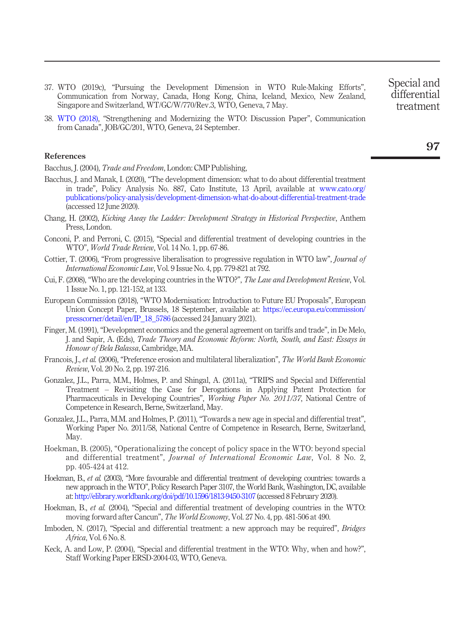- <span id="page-14-12"></span>37. WTO (2019c), "Pursuing the Development Dimension in WTO Rule-Making Efforts", Communication from Norway, Canada, Hong Kong, China, Iceland, Mexico, New Zealand, Singapore and Switzerland, WT/GC/W/770/Rev.3, WTO, Geneva, 7 May.
- <span id="page-14-13"></span>38. [WTO \(2018\)](#page-16-5), "Strengthening and Modernizing the WTO: Discussion Paper", Communication from Canada", JOB/GC/201, WTO, Geneva, 24 September.

#### References

<span id="page-14-15"></span>Bacchus, J. (2004), *Trade and Freedom*, London: CMP Publishing,

- <span id="page-14-14"></span>Bacchus, J. and Manak, I. (2020), "The development dimension: what to do about differential treatment in trade", Policy Analysis No. 887, Cato Institute, 13 April, available at [www.cato.org/](http://www.cato.org/publications/policy-analysis/development-dimension-what-do-about-differential-treatment-trade) [publications/policy-analysis/development-dimension-what-do-about-differential-treatment-trade](http://www.cato.org/publications/policy-analysis/development-dimension-what-do-about-differential-treatment-trade) (accessed 12 June 2020).
- <span id="page-14-8"></span>Chang, H. (2002), Kicking Away the Ladder: Development Strategy in Historical Perspective, Anthem Press, London.
- <span id="page-14-0"></span>Conconi, P. and Perroni, C. (2015), "Special and differential treatment of developing countries in the WTO", World Trade Review, Vol. 14 No. 1, pp. 67-86.
- <span id="page-14-4"></span>Cottier, T. (2006), "From progressive liberalisation to progressive regulation in WTO law", *Journal of* International Economic Law, Vol. 9 Issue No. 4, pp. 779-821 at 792.
- <span id="page-14-10"></span>Cui, F. (2008), "Who are the developing countries in the WTO?", The Law and Development Review, Vol. 1 Issue No. 1, pp. 121-152, at 133.
- <span id="page-14-16"></span>European Commission (2018), "WTO Modernisation: Introduction to Future EU Proposals", European Union Concept Paper, Brussels, 18 September, available at: [https://ec.europa.eu/commission/](https://ec.europa.eu/commission/presscorner/detail/en/IP_18_5786) [presscorner/detail/en/IP\\_18\\_5786](https://ec.europa.eu/commission/presscorner/detail/en/IP_18_5786) (accessed 24 January 2021).
- <span id="page-14-7"></span>Finger, M. (1991), "Development economics and the general agreement on tariffs and trade", in De Melo, J. and Sapir, A. (Eds), Trade Theory and Economic Reform: North, South, and East: Essays in Honour of Bela Balassa, Cambridge, MA.
- <span id="page-14-9"></span>Francois, J., et al. (2006), "Preference erosion and multilateral liberalization", The World Bank Economic Review, Vol. 20 No. 2, pp. 197-216.
- Gonzalez, J.L., Parra, M.M., Holmes, P. and Shingal, A. (2011a), "TRIPS and Special and Differential Treatment – Revisiting the Case for Derogations in Applying Patent Protection for Pharmaceuticals in Developing Countries", Working Paper No. 2011/37, National Centre of Competence in Research, Berne, Switzerland, May.
- <span id="page-14-11"></span>Gonzalez, J.L., Parra, M.M. and Holmes, P. (2011), "Towards a new age in special and differential treat", Working Paper No. 2011/58, National Centre of Competence in Research, Berne, Switzerland, May.
- <span id="page-14-1"></span>Hoekman, B. (2005), "Operationalizing the concept of policy space in the WTO: beyond special and differential treatment", Journal of International Economic Law, Vol. 8 No. 2, pp. 405-424 at 412.
- <span id="page-14-3"></span>Hoekman, B., et al. (2003), "More favourable and differential treatment of developing countries: towards a new approach in the WTO", Policy Research Paper 3107, the World Bank, Washington, DC, available at: <http://elibrary.worldbank.org/doi/pdf/10.1596/1813-9450-3107> (accessed 8 February 2020).
- <span id="page-14-2"></span>Hoekman, B., et al. (2004), "Special and differential treatment of developing countries in the WTO: moving forward after Cancun", The World Economy, Vol. 27 No. 4, pp. 481-506 at 490.
- <span id="page-14-6"></span>Imboden, N. (2017), "Special and differential treatment: a new approach may be required", *Bridges* Africa, Vol. 6 No. 8.
- <span id="page-14-5"></span>Keck, A. and Low, P. (2004), "Special and differential treatment in the WTO: Why, when and how?", Staff Working Paper ERSD-2004-03, WTO, Geneva.

treatment

Special and differential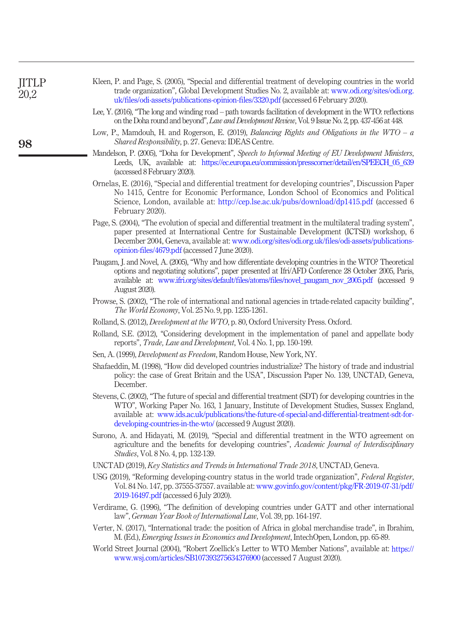<span id="page-15-17"></span><span id="page-15-16"></span><span id="page-15-15"></span><span id="page-15-14"></span><span id="page-15-13"></span><span id="page-15-12"></span><span id="page-15-11"></span><span id="page-15-10"></span><span id="page-15-9"></span><span id="page-15-8"></span><span id="page-15-7"></span><span id="page-15-6"></span><span id="page-15-5"></span><span id="page-15-4"></span><span id="page-15-3"></span><span id="page-15-2"></span><span id="page-15-1"></span><span id="page-15-0"></span>

| <b>JITLP</b><br>20,2 | Kleen, P. and Page, S. (2005), "Special and differential treatment of developing countries in the world<br>trade organization", Global Development Studies No. 2, available at: www.odi.org/sites/odi.org<br>uk/files/odi-assets/publications-opinion-files/3320.pdf (accessed 6 February 2020).                                                                             |
|----------------------|------------------------------------------------------------------------------------------------------------------------------------------------------------------------------------------------------------------------------------------------------------------------------------------------------------------------------------------------------------------------------|
|                      | Lee, Y. (2016), "The long and winding road – path towards facilitation of development in the WTO: reflections<br>on the Doha round and beyond", <i>Law and Development Review</i> , Vol. 9 Issue No. 2, pp. 437-456 at 448.                                                                                                                                                  |
| 98                   | Low, P., Mamdouh, H. and Rogerson, E. (2019), Balancing Rights and Obligations in the $WTO - a$<br>Shared Responsibility, p. 27. Geneva: IDEAS Centre.                                                                                                                                                                                                                       |
|                      | Mandelson, P. (2005), "Doha for Development", Speech to Informal Meeting of EU Development Ministers,<br>Leeds, UK, available at: https://ec.europa.eu/commission/presscorner/detail/en/SPEECH_05_639<br>(accessed 8 February 2020).                                                                                                                                         |
|                      | Ornelas, E. (2016), "Special and differential treatment for developing countries", Discussion Paper<br>No 1415, Centre for Economic Performance, London School of Economics and Political<br>Science, London, available at: http://cep.lse.ac.uk/pubs/download/dp1415.pdf (accessed 6)<br>February 2020).                                                                    |
|                      | Page, S. (2004), "The evolution of special and differential treatment in the multilateral trading system",<br>paper presented at International Centre for Sustainable Development (ICTSD) workshop, 6<br>December 2004, Geneva, available at: www.odi.org/sites/odi.org.uk/files/odi-assets/publications-<br>opinion-files/4679.pdf (accessed 7 June 2020).                  |
|                      | Paugam, J. and Novel, A. (2005), "Why and how differentiate developing countries in the WTO? Theoretical<br>options and negotiating solutions", paper presented at Ifri/AFD Conference 28 October 2005, Paris,<br>available at: www.ifri.org/sites/default/files/atoms/files/novel_paugam_nov_2005.pdf (accessed 9<br>August 2020).                                          |
|                      | Prowse, S. (2002), "The role of international and national agencies in trtade-related capacity building",<br>The World Economy, Vol. 25 No. 9, pp. 1235-1261.                                                                                                                                                                                                                |
|                      | Rolland, S. (2012), <i>Development at the WTO</i> , p. 80, Oxford University Press. Oxford.                                                                                                                                                                                                                                                                                  |
|                      | Rolland, S.E. (2012), "Considering development in the implementation of panel and appellate body<br>reports", Trade, Law and Development, Vol. 4 No. 1, pp. 150-199.                                                                                                                                                                                                         |
|                      | Sen, A. (1999), <i>Development as Freedom</i> , Random House, New York, NY.                                                                                                                                                                                                                                                                                                  |
|                      | Shafaeddin, M. (1998), "How did developed countries industrialize? The history of trade and industrial<br>policy: the case of Great Britain and the USA", Discussion Paper No. 139, UNCTAD, Geneva,<br>December.                                                                                                                                                             |
|                      | Stevens, C. (2002), "The future of special and differential treatment (SDT) for developing countries in the<br>WTO", Working Paper No. 163, 1 January, Institute of Development Studies, Sussex England,<br>available at: www.ids.ac.uk/publications/the-future-of-special-and-differential-treatment-sdt-for-<br>developing-countries-in-the-wto/ (accessed 9 August 2020). |
|                      | Surono, A. and Hidayati, M. (2019), "Special and differential treatment in the WTO agreement on<br>agriculture and the benefits for developing countries", Academic Journal of Interdisciplinary<br>Studies, Vol. 8 No. 4, pp. 132-139.                                                                                                                                      |
|                      | UNCTAD (2019), Key Statistics and Trends in International Trade 2018, UNCTAD, Geneva.                                                                                                                                                                                                                                                                                        |
|                      | USG (2019), "Reforming developing country status in the world trade organization", Federal Register,<br>Vol. 84 No. 147, pp. 37555-37557, available at: www.govinfo.gov/content/pkg/FR-2019-07-31/pdf/<br>2019-16497.pdf (accessed 6 July 2020).                                                                                                                             |
|                      | Verdirame, G. (1996), "The definition of developing countries under GATT and other international<br>law", German Year Book of International Law, Vol. 39, pp. 164-197.                                                                                                                                                                                                       |
|                      | Verter, N. (2017), "International trade: the position of Africa in global merchandise trade", in Ibrahim,<br>M. (Ed.), Emerging Issues in Economics and Development, IntechOpen, London, pp. 65-89.                                                                                                                                                                          |
|                      | World Street Journal (2004), "Robert Zoellick's Letter to WTO Member Nations", available at: https://<br>www.wsj.com/articles/SB107393275634376900 (accessed 7 August 2020).                                                                                                                                                                                                 |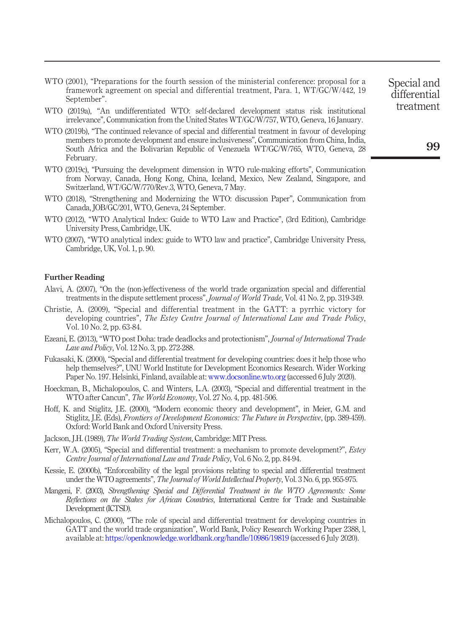- <span id="page-16-1"></span>WTO (2001), "Preparations for the fourth session of the ministerial conference: proposal for a framework agreement on special and differential treatment, Para. 1, WT/GC/W/442, 19 September".
- <span id="page-16-0"></span>WTO (2019a), "An undifferentiated WTO: self-declared development status risk institutional irrelevance", Communication from the United States WT/GC/W/757, WTO, Geneva, 16 January.
- <span id="page-16-2"></span>WTO (2019b), "The continued relevance of special and differential treatment in favour of developing members to promote development and ensure inclusiveness", Communication from China, India, South Africa and the Bolivarian Republic of Venezuela WT/GC/W/765, WTO, Geneva, 28 February.
- WTO (2019c), "Pursuing the development dimension in WTO rule-making efforts", Communication from Norway, Canada, Hong Kong, China, Iceland, Mexico, New Zealand, Singapore, and Switzerland, WT/GC/W/770/Rev.3, WTO, Geneva, 7 May.
- <span id="page-16-5"></span>WTO (2018), "Strengthening and Modernizing the WTO: discussion Paper", Communication from Canada, JOB/GC/201, WTO, Geneva, 24 September.
- <span id="page-16-4"></span>WTO (2012), "WTO Analytical Index: Guide to WTO Law and Practice", (3rd Edition), Cambridge University Press, Cambridge, UK.
- <span id="page-16-3"></span>WTO (2007), "WTO analytical index: guide to WTO law and practice", Cambridge University Press, Cambridge, UK, Vol. 1, p. 90.

#### Further Reading

- Alavi, A. (2007), "On the (non-)effectiveness of the world trade organization special and differential treatments in the dispute settlement process", Journal of World Trade, Vol. 41 No. 2, pp. 319-349.
- Christie, A. (2009), "Special and differential treatment in the GATT: a pyrrhic victory for developing countries", The Estey Centre Journal of International Law and Trade Policy, Vol. 10 No. 2, pp. 63-84.
- Ezeani, E. (2013), "WTO post Doha: trade deadlocks and protectionism", Journal of International Trade Law and Policy, Vol. 12 No. 3, pp. 272-288.
- Fukasaki, K. (2000), "Special and differential treatment for developing countries: does it help those who help themselves?", UNU World Institute for Development Economics Research. Wider Working Paper No. 197. Helsinki, Finland, available at: [www.docsonline.wto.org](http://www.docsonline.wto.org) (accessed 6 July 2020).
- Hoeckman, B., Michalopoulos, C. and Winters, L.A. (2003), "Special and differential treatment in the WTO after Cancun", The World Economy, Vol. 27 No. 4, pp. 481-506.
- Hoff, K. and Stiglitz, J.E. (2000), "Modern economic theory and development", in Meier, G.M. and Stiglitz, J.E. (Eds), Frontiers of Development Economics: The Future in Perspective, (pp. 389-459). Oxford: World Bank and Oxford University Press.
- Jackson, J.H. (1989), The World Trading System, Cambridge: MIT Press.
- Kerr, W.A. (2005), "Special and differential treatment: a mechanism to promote development?", *Estey* Centre Journal of International Law and Trade Policy, Vol. 6 No. 2, pp. 84-94.
- Kessie, E. (2000b), "Enforceability of the legal provisions relating to special and differential treatment under the WTO agreements", The Journal of World Intellectual Property, Vol. 3 No. 6, pp. 955-975.
- Mangeni, F. (2003), Strengthening Special and Differential Treatment in the WTO Agreements: Some Reflections on the Stakes for African Countries, International Centre for Trade and Sustainable Development (ICTSD).
- Michalopoulos, C. (2000), "The role of special and differential treatment for developing countries in GATT and the world trade organization", World Bank, Policy Research Working Paper 2388, l, available at: <https://openknowledge.worldbank.org/handle/10986/19819> (accessed 6 July 2020).